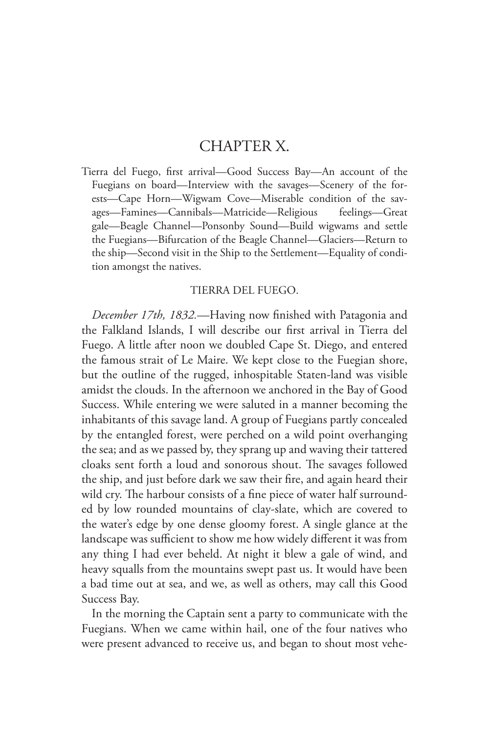## CHAPTER X.

Tierra del Fuego, first arrival—Good Success Bay—An account of the Fuegians on board—Interview with the savages—Scenery of the forests—Cape Horn—Wigwam Cove—Miserable condition of the savages—Famines—Cannibals—Matricide—Religious feelings—Great gale—Beagle Channel—Ponsonby Sound—Build wigwams and settle the Fuegians—Bifurcation of the Beagle Channel—Glaciers—Return to the ship—Second visit in the Ship to the Settlement—Equality of condition amongst the natives.

## TIERRA DEL FUEGO.

*December 17th, 1832.*—Having now finished with Patagonia and the Falkland Islands, I will describe our first arrival in Tierra del Fuego. A little after noon we doubled Cape St. Diego, and entered the famous strait of Le Maire. We kept close to the Fuegian shore, but the outline of the rugged, inhospitable Staten-land was visible amidst the clouds. In the afternoon we anchored in the Bay of Good Success. While entering we were saluted in a manner becoming the inhabitants of this savage land. A group of Fuegians partly concealed by the entangled forest, were perched on a wild point overhanging the sea; and as we passed by, they sprang up and waving their tattered cloaks sent forth a loud and sonorous shout. The savages followed the ship, and just before dark we saw their fire, and again heard their wild cry. The harbour consists of a fine piece of water half surrounded by low rounded mountains of clay-slate, which are covered to the water's edge by one dense gloomy forest. A single glance at the landscape was sufficient to show me how widely different it was from any thing I had ever beheld. At night it blew a gale of wind, and heavy squalls from the mountains swept past us. It would have been a bad time out at sea, and we, as well as others, may call this Good Success Bay.

In the morning the Captain sent a party to communicate with the Fuegians. When we came within hail, one of the four natives who were present advanced to receive us, and began to shout most vehe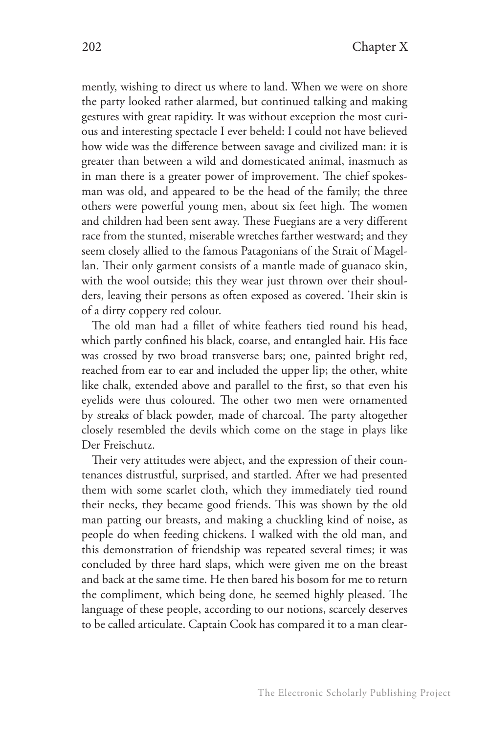mently, wishing to direct us where to land. When we were on shore the party looked rather alarmed, but continued talking and making gestures with great rapidity. It was without exception the most curious and interesting spectacle I ever beheld: I could not have believed how wide was the difference between savage and civilized man: it is greater than between a wild and domesticated animal, inasmuch as in man there is a greater power of improvement. The chief spokesman was old, and appeared to be the head of the family; the three others were powerful young men, about six feet high. The women and children had been sent away. These Fuegians are a very different race from the stunted, miserable wretches farther westward; and they seem closely allied to the famous Patagonians of the Strait of Magellan. Their only garment consists of a mantle made of guanaco skin, with the wool outside; this they wear just thrown over their shoulders, leaving their persons as often exposed as covered. Their skin is of a dirty coppery red colour.

The old man had a fillet of white feathers tied round his head, which partly confined his black, coarse, and entangled hair. His face was crossed by two broad transverse bars; one, painted bright red, reached from ear to ear and included the upper lip; the other, white like chalk, extended above and parallel to the first, so that even his eyelids were thus coloured. The other two men were ornamented by streaks of black powder, made of charcoal. The party altogether closely resembled the devils which come on the stage in plays like Der Freischutz.

Their very attitudes were abject, and the expression of their countenances distrustful, surprised, and startled. After we had presented them with some scarlet cloth, which they immediately tied round their necks, they became good friends. This was shown by the old man patting our breasts, and making a chuckling kind of noise, as people do when feeding chickens. I walked with the old man, and this demonstration of friendship was repeated several times; it was concluded by three hard slaps, which were given me on the breast and back at the same time. He then bared his bosom for me to return the compliment, which being done, he seemed highly pleased. The language of these people, according to our notions, scarcely deserves to be called articulate. Captain Cook has compared it to a man clear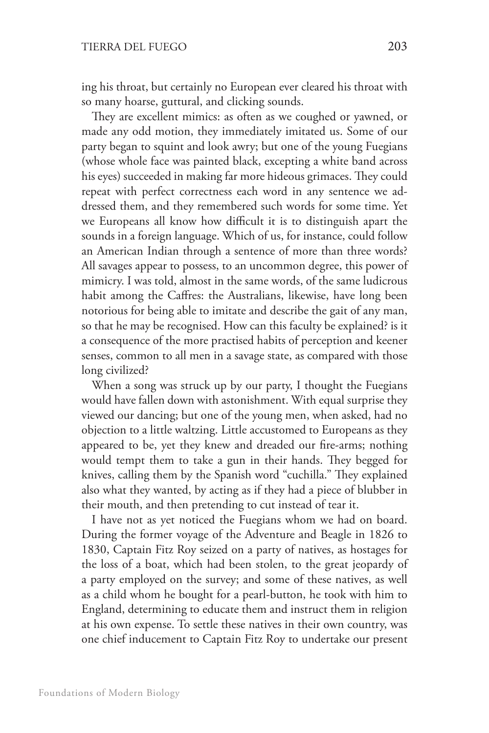ing his throat, but certainly no European ever cleared his throat with so many hoarse, guttural, and clicking sounds.

They are excellent mimics: as often as we coughed or yawned, or made any odd motion, they immediately imitated us. Some of our party began to squint and look awry; but one of the young Fuegians (whose whole face was painted black, excepting a white band across his eyes) succeeded in making far more hideous grimaces. They could repeat with perfect correctness each word in any sentence we addressed them, and they remembered such words for some time. Yet we Europeans all know how difficult it is to distinguish apart the sounds in a foreign language. Which of us, for instance, could follow an American Indian through a sentence of more than three words? All savages appear to possess, to an uncommon degree, this power of mimicry. I was told, almost in the same words, of the same ludicrous habit among the Caffres: the Australians, likewise, have long been notorious for being able to imitate and describe the gait of any man, so that he may be recognised. How can this faculty be explained? is it a consequence of the more practised habits of perception and keener senses, common to all men in a savage state, as compared with those long civilized?

When a song was struck up by our party, I thought the Fuegians would have fallen down with astonishment. With equal surprise they viewed our dancing; but one of the young men, when asked, had no objection to a little waltzing. Little accustomed to Europeans as they appeared to be, yet they knew and dreaded our fire-arms; nothing would tempt them to take a gun in their hands. They begged for knives, calling them by the Spanish word "cuchilla." They explained also what they wanted, by acting as if they had a piece of blubber in their mouth, and then pretending to cut instead of tear it.

I have not as yet noticed the Fuegians whom we had on board. During the former voyage of the Adventure and Beagle in 1826 to 1830, Captain Fitz Roy seized on a party of natives, as hostages for the loss of a boat, which had been stolen, to the great jeopardy of a party employed on the survey; and some of these natives, as well as a child whom he bought for a pearl-button, he took with him to England, determining to educate them and instruct them in religion at his own expense. To settle these natives in their own country, was one chief inducement to Captain Fitz Roy to undertake our present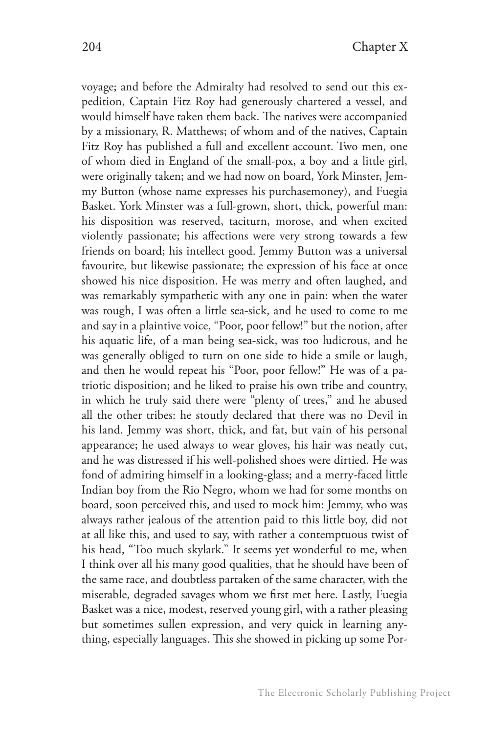voyage; and before the Admiralty had resolved to send out this expedition, Captain Fitz Roy had generously chartered a vessel, and would himself have taken them back. The natives were accompanied by a missionary, R. Matthews; of whom and of the natives, Captain Fitz Roy has published a full and excellent account. Two men, one of whom died in England of the small-pox, a boy and a little girl, were originally taken; and we had now on board, York Minster, Jemmy Button (whose name expresses his purchasemoney), and Fuegia Basket. York Minster was a full-grown, short, thick, powerful man: his disposition was reserved, taciturn, morose, and when excited violently passionate; his affections were very strong towards a few friends on board; his intellect good. Jemmy Button was a universal favourite, but likewise passionate; the expression of his face at once showed his nice disposition. He was merry and often laughed, and was remarkably sympathetic with any one in pain: when the water was rough, I was often a little sea-sick, and he used to come to me and say in a plaintive voice, "Poor, poor fellow!" but the notion, after his aquatic life, of a man being sea-sick, was too ludicrous, and he was generally obliged to turn on one side to hide a smile or laugh, and then he would repeat his "Poor, poor fellow!" He was of a patriotic disposition; and he liked to praise his own tribe and country, in which he truly said there were "plenty of trees," and he abused all the other tribes: he stoutly declared that there was no Devil in his land. Jemmy was short, thick, and fat, but vain of his personal appearance; he used always to wear gloves, his hair was neatly cut, and he was distressed if his well-polished shoes were dirtied. He was fond of admiring himself in a looking-glass; and a merry-faced little Indian boy from the Rio Negro, whom we had for some months on board, soon perceived this, and used to mock him: Jemmy, who was always rather jealous of the attention paid to this little boy, did not at all like this, and used to say, with rather a contemptuous twist of his head, "Too much skylark." It seems yet wonderful to me, when I think over all his many good qualities, that he should have been of the same race, and doubtless partaken of the same character, with the miserable, degraded savages whom we first met here. Lastly, Fuegia Basket was a nice, modest, reserved young girl, with a rather pleasing but sometimes sullen expression, and very quick in learning anything, especially languages. This she showed in picking up some Por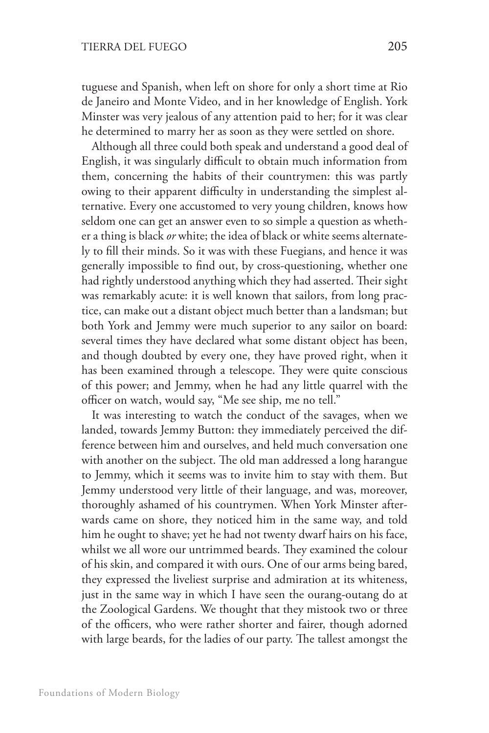tuguese and Spanish, when left on shore for only a short time at Rio de Janeiro and Monte Video, and in her knowledge of English. York Minster was very jealous of any attention paid to her; for it was clear he determined to marry her as soon as they were settled on shore.

Although all three could both speak and understand a good deal of English, it was singularly difficult to obtain much information from them, concerning the habits of their countrymen: this was partly owing to their apparent difficulty in understanding the simplest alternative. Every one accustomed to very young children, knows how seldom one can get an answer even to so simple a question as whether a thing is black *or* white; the idea of black or white seems alternately to fill their minds. So it was with these Fuegians, and hence it was generally impossible to find out, by cross-questioning, whether one had rightly understood anything which they had asserted. Their sight was remarkably acute: it is well known that sailors, from long practice, can make out a distant object much better than a landsman; but both York and Jemmy were much superior to any sailor on board: several times they have declared what some distant object has been, and though doubted by every one, they have proved right, when it has been examined through a telescope. They were quite conscious of this power; and Jemmy, when he had any little quarrel with the officer on watch, would say, "Me see ship, me no tell."

It was interesting to watch the conduct of the savages, when we landed, towards Jemmy Button: they immediately perceived the difference between him and ourselves, and held much conversation one with another on the subject. The old man addressed a long harangue to Jemmy, which it seems was to invite him to stay with them. But Jemmy understood very little of their language, and was, moreover, thoroughly ashamed of his countrymen. When York Minster afterwards came on shore, they noticed him in the same way, and told him he ought to shave; yet he had not twenty dwarf hairs on his face, whilst we all wore our untrimmed beards. They examined the colour of his skin, and compared it with ours. One of our arms being bared, they expressed the liveliest surprise and admiration at its whiteness, just in the same way in which I have seen the ourang-outang do at the Zoological Gardens. We thought that they mistook two or three of the officers, who were rather shorter and fairer, though adorned with large beards, for the ladies of our party. The tallest amongst the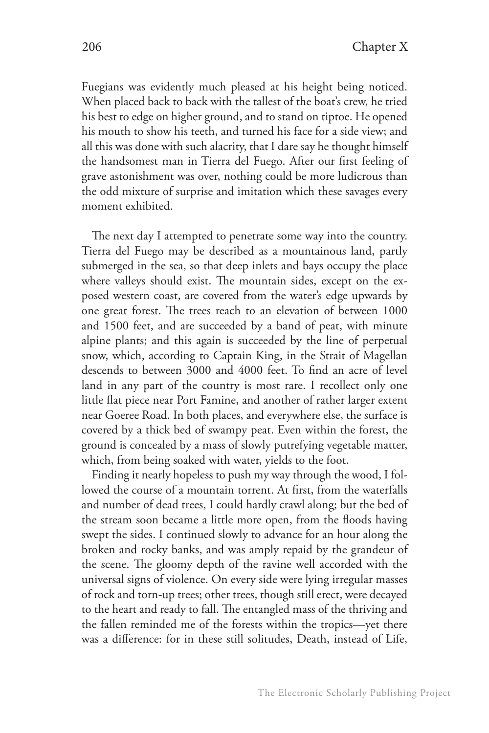Fuegians was evidently much pleased at his height being noticed. When placed back to back with the tallest of the boat's crew, he tried his best to edge on higher ground, and to stand on tiptoe. He opened his mouth to show his teeth, and turned his face for a side view; and all this was done with such alacrity, that I dare say he thought himself the handsomest man in Tierra del Fuego. After our first feeling of grave astonishment was over, nothing could be more ludicrous than the odd mixture of surprise and imitation which these savages every moment exhibited.

The next day I attempted to penetrate some way into the country. Tierra del Fuego may be described as a mountainous land, partly submerged in the sea, so that deep inlets and bays occupy the place where valleys should exist. The mountain sides, except on the exposed western coast, are covered from the water's edge upwards by one great forest. The trees reach to an elevation of between 1000 and 1500 feet, and are succeeded by a band of peat, with minute alpine plants; and this again is succeeded by the line of perpetual snow, which, according to Captain King, in the Strait of Magellan descends to between 3000 and 4000 feet. To find an acre of level land in any part of the country is most rare. I recollect only one little flat piece near Port Famine, and another of rather larger extent near Goeree Road. In both places, and everywhere else, the surface is covered by a thick bed of swampy peat. Even within the forest, the ground is concealed by a mass of slowly putrefying vegetable matter, which, from being soaked with water, yields to the foot.

Finding it nearly hopeless to push my way through the wood, I followed the course of a mountain torrent. At first, from the waterfalls and number of dead trees, I could hardly crawl along; but the bed of the stream soon became a little more open, from the floods having swept the sides. I continued slowly to advance for an hour along the broken and rocky banks, and was amply repaid by the grandeur of the scene. The gloomy depth of the ravine well accorded with the universal signs of violence. On every side were lying irregular masses of rock and torn-up trees; other trees, though still erect, were decayed to the heart and ready to fall. The entangled mass of the thriving and the fallen reminded me of the forests within the tropics—yet there was a difference: for in these still solitudes, Death, instead of Life,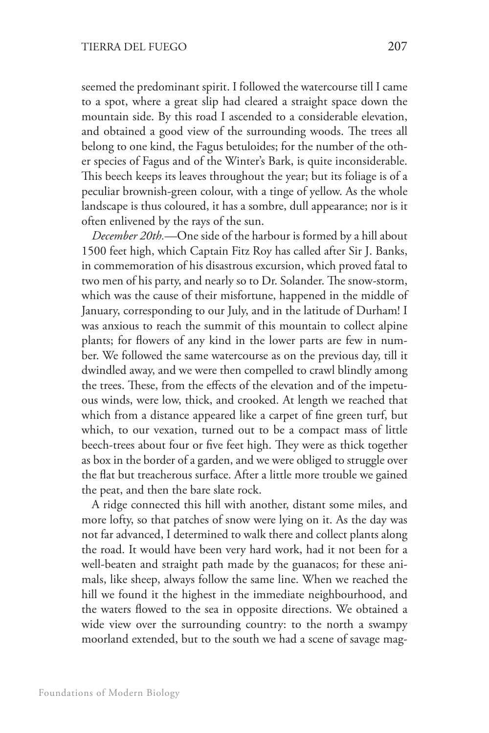seemed the predominant spirit. I followed the watercourse till I came to a spot, where a great slip had cleared a straight space down the mountain side. By this road I ascended to a considerable elevation, and obtained a good view of the surrounding woods. The trees all belong to one kind, the Fagus betuloides; for the number of the other species of Fagus and of the Winter's Bark, is quite inconsiderable. This beech keeps its leaves throughout the year; but its foliage is of a peculiar brownish-green colour, with a tinge of yellow. As the whole landscape is thus coloured, it has a sombre, dull appearance; nor is it often enlivened by the rays of the sun.

*December 20th.*—One side of the harbour is formed by a hill about 1500 feet high, which Captain Fitz Roy has called after Sir J. Banks, in commemoration of his disastrous excursion, which proved fatal to two men of his party, and nearly so to Dr. Solander. The snow-storm, which was the cause of their misfortune, happened in the middle of January, corresponding to our July, and in the latitude of Durham! I was anxious to reach the summit of this mountain to collect alpine plants; for flowers of any kind in the lower parts are few in number. We followed the same watercourse as on the previous day, till it dwindled away, and we were then compelled to crawl blindly among the trees. These, from the effects of the elevation and of the impetuous winds, were low, thick, and crooked. At length we reached that which from a distance appeared like a carpet of fine green turf, but which, to our vexation, turned out to be a compact mass of little beech-trees about four or five feet high. They were as thick together as box in the border of a garden, and we were obliged to struggle over the flat but treacherous surface. After a little more trouble we gained the peat, and then the bare slate rock.

A ridge connected this hill with another, distant some miles, and more lofty, so that patches of snow were lying on it. As the day was not far advanced, I determined to walk there and collect plants along the road. It would have been very hard work, had it not been for a well-beaten and straight path made by the guanacos; for these animals, like sheep, always follow the same line. When we reached the hill we found it the highest in the immediate neighbourhood, and the waters flowed to the sea in opposite directions. We obtained a wide view over the surrounding country: to the north a swampy moorland extended, but to the south we had a scene of savage mag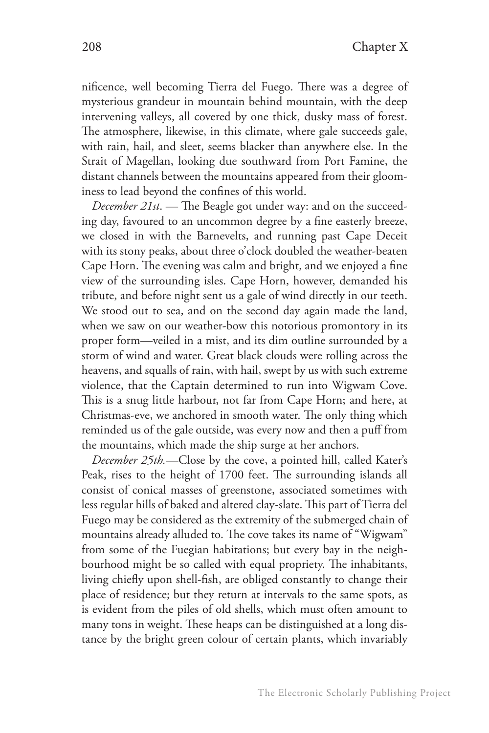nificence, well becoming Tierra del Fuego. There was a degree of mysterious grandeur in mountain behind mountain, with the deep intervening valleys, all covered by one thick, dusky mass of forest. The atmosphere, likewise, in this climate, where gale succeeds gale, with rain, hail, and sleet, seems blacker than anywhere else. In the Strait of Magellan, looking due southward from Port Famine, the distant channels between the mountains appeared from their gloominess to lead beyond the confines of this world.

*December 21st*. — The Beagle got under way: and on the succeeding day, favoured to an uncommon degree by a fine easterly breeze, we closed in with the Barnevelts, and running past Cape Deceit with its stony peaks, about three o'clock doubled the weather-beaten Cape Horn. The evening was calm and bright, and we enjoyed a fine view of the surrounding isles. Cape Horn, however, demanded his tribute, and before night sent us a gale of wind directly in our teeth. We stood out to sea, and on the second day again made the land, when we saw on our weather-bow this notorious promontory in its proper form—veiled in a mist, and its dim outline surrounded by a storm of wind and water. Great black clouds were rolling across the heavens, and squalls of rain, with hail, swept by us with such extreme violence, that the Captain determined to run into Wigwam Cove. This is a snug little harbour, not far from Cape Horn; and here, at Christmas-eve, we anchored in smooth water. The only thing which reminded us of the gale outside, was every now and then a puff from the mountains, which made the ship surge at her anchors.

*December 25th.*—Close by the cove, a pointed hill, called Kater's Peak, rises to the height of 1700 feet. The surrounding islands all consist of conical masses of greenstone, associated sometimes with less regular hills of baked and altered clay-slate. This part of Tierra del Fuego may be considered as the extremity of the submerged chain of mountains already alluded to. The cove takes its name of "Wigwam" from some of the Fuegian habitations; but every bay in the neighbourhood might be so called with equal propriety. The inhabitants, living chiefly upon shell-fish, are obliged constantly to change their place of residence; but they return at intervals to the same spots, as is evident from the piles of old shells, which must often amount to many tons in weight. These heaps can be distinguished at a long distance by the bright green colour of certain plants, which invariably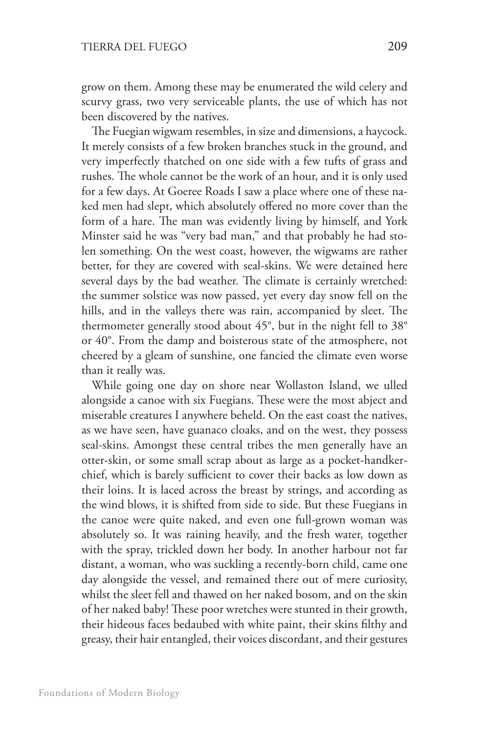grow on them. Among these may be enumerated the wild celery and scurvy grass, two very serviceable plants, the use of which has not been discovered by the natives.

The Fuegian wigwam resembles, in size and dimensions, a haycock. It merely consists of a few broken branches stuck in the ground, and very imperfectly thatched on one side with a few tufts of grass and rushes. The whole cannot be the work of an hour, and it is only used for a few days. At Goeree Roads I saw a place where one of these naked men had slept, which absolutely offered no more cover than the form of a hare. The man was evidently living by himself, and York Minster said he was "very bad man," and that probably he had stolen something. On the west coast, however, the wigwams are rather better, for they are covered with seal-skins. We were detained here several days by the bad weather. The climate is certainly wretched: the summer solstice was now passed, yet every day snow fell on the hills, and in the valleys there was rain, accompanied by sleet. The thermometer generally stood about 45°, but in the night fell to 38° or 40°. From the damp and boisterous state of the atmosphere, not cheered by a gleam of sunshine, one fancied the climate even worse than it really was.

While going one day on shore near Wollaston Island, we ulled alongside a canoe with six Fuegians. These were the most abject and miserable creatures I anywhere beheld. On the east coast the natives, as we have seen, have guanaco cloaks, and on the west, they possess seal-skins. Amongst these central tribes the men generally have an otter-skin, or some small scrap about as large as a pocket-handkerchief, which is barely sufficient to cover their backs as low down as their loins. It is laced across the breast by strings, and according as the wind blows, it is shifted from side to side. But these Fuegians in the canoe were quite naked, and even one full-grown woman was absolutely so. It was raining heavily, and the fresh water, together with the spray, trickled down her body. In another harbour not far distant, a woman, who was suckling a recently-born child, came one day alongside the vessel, and remained there out of mere curiosity, whilst the sleet fell and thawed on her naked bosom, and on the skin of her naked baby! These poor wretches were stunted in their growth, their hideous faces bedaubed with white paint, their skins filthy and greasy, their hair entangled, their voices discordant, and their gestures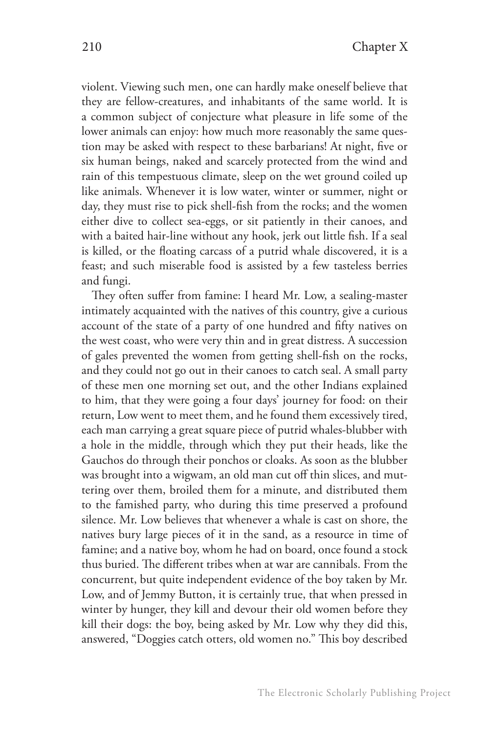violent. Viewing such men, one can hardly make oneself believe that they are fellow-creatures, and inhabitants of the same world. It is a common subject of conjecture what pleasure in life some of the lower animals can enjoy: how much more reasonably the same question may be asked with respect to these barbarians! At night, five or six human beings, naked and scarcely protected from the wind and rain of this tempestuous climate, sleep on the wet ground coiled up like animals. Whenever it is low water, winter or summer, night or day, they must rise to pick shell-fish from the rocks; and the women either dive to collect sea-eggs, or sit patiently in their canoes, and with a baited hair-line without any hook, jerk out little fish. If a seal is killed, or the floating carcass of a putrid whale discovered, it is a feast; and such miserable food is assisted by a few tasteless berries and fungi.

They often suffer from famine: I heard Mr. Low, a sealing-master intimately acquainted with the natives of this country, give a curious account of the state of a party of one hundred and fifty natives on the west coast, who were very thin and in great distress. A succession of gales prevented the women from getting shell-fish on the rocks, and they could not go out in their canoes to catch seal. A small party of these men one morning set out, and the other Indians explained to him, that they were going a four days' journey for food: on their return, Low went to meet them, and he found them excessively tired, each man carrying a great square piece of putrid whales-blubber with a hole in the middle, through which they put their heads, like the Gauchos do through their ponchos or cloaks. As soon as the blubber was brought into a wigwam, an old man cut off thin slices, and muttering over them, broiled them for a minute, and distributed them to the famished party, who during this time preserved a profound silence. Mr. Low believes that whenever a whale is cast on shore, the natives bury large pieces of it in the sand, as a resource in time of famine; and a native boy, whom he had on board, once found a stock thus buried. The different tribes when at war are cannibals. From the concurrent, but quite independent evidence of the boy taken by Mr. Low, and of Jemmy Button, it is certainly true, that when pressed in winter by hunger, they kill and devour their old women before they kill their dogs: the boy, being asked by Mr. Low why they did this, answered, "Doggies catch otters, old women no." This boy described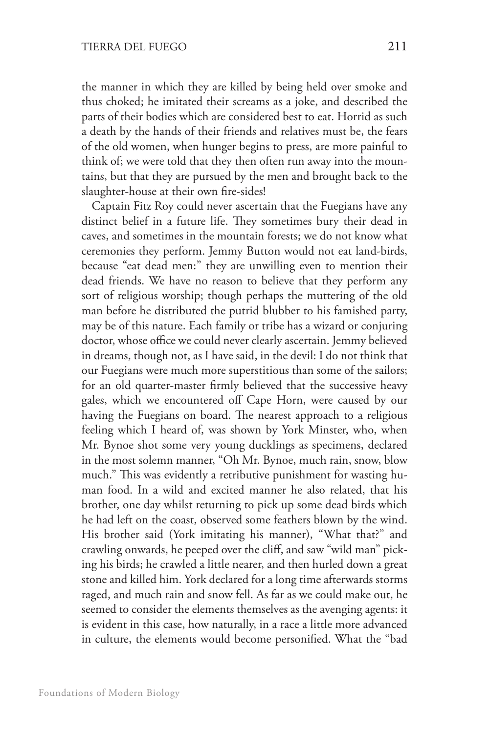the manner in which they are killed by being held over smoke and thus choked; he imitated their screams as a joke, and described the parts of their bodies which are considered best to eat. Horrid as such a death by the hands of their friends and relatives must be, the fears of the old women, when hunger begins to press, are more painful to think of; we were told that they then often run away into the mountains, but that they are pursued by the men and brought back to the slaughter-house at their own fire-sides!

Captain Fitz Roy could never ascertain that the Fuegians have any distinct belief in a future life. They sometimes bury their dead in caves, and sometimes in the mountain forests; we do not know what ceremonies they perform. Jemmy Button would not eat land-birds, because "eat dead men:" they are unwilling even to mention their dead friends. We have no reason to believe that they perform any sort of religious worship; though perhaps the muttering of the old man before he distributed the putrid blubber to his famished party, may be of this nature. Each family or tribe has a wizard or conjuring doctor, whose office we could never clearly ascertain. Jemmy believed in dreams, though not, as I have said, in the devil: I do not think that our Fuegians were much more superstitious than some of the sailors; for an old quarter-master firmly believed that the successive heavy gales, which we encountered off Cape Horn, were caused by our having the Fuegians on board. The nearest approach to a religious feeling which I heard of, was shown by York Minster, who, when Mr. Bynoe shot some very young ducklings as specimens, declared in the most solemn manner, "Oh Mr. Bynoe, much rain, snow, blow much." This was evidently a retributive punishment for wasting human food. In a wild and excited manner he also related, that his brother, one day whilst returning to pick up some dead birds which he had left on the coast, observed some feathers blown by the wind. His brother said (York imitating his manner), "What that?" and crawling onwards, he peeped over the cliff, and saw "wild man" picking his birds; he crawled a little nearer, and then hurled down a great stone and killed him. York declared for a long time afterwards storms raged, and much rain and snow fell. As far as we could make out, he seemed to consider the elements themselves as the avenging agents: it is evident in this case, how naturally, in a race a little more advanced in culture, the elements would become personified. What the "bad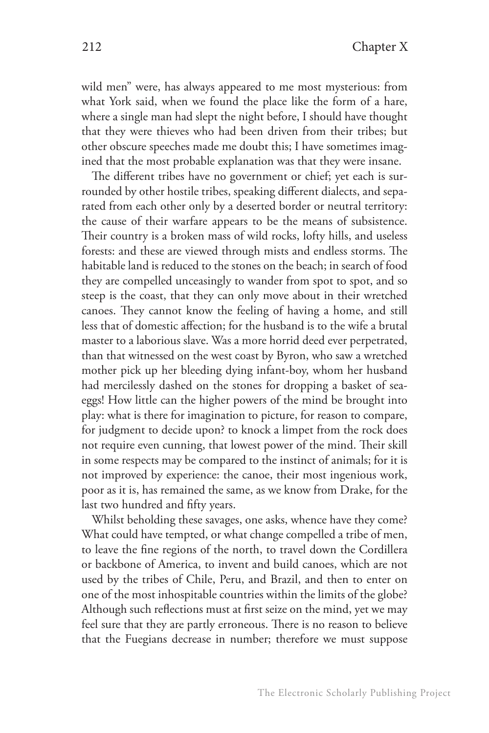wild men" were, has always appeared to me most mysterious: from what York said, when we found the place like the form of a hare, where a single man had slept the night before, I should have thought that they were thieves who had been driven from their tribes; but other obscure speeches made me doubt this; I have sometimes imagined that the most probable explanation was that they were insane.

The different tribes have no government or chief; yet each is surrounded by other hostile tribes, speaking different dialects, and separated from each other only by a deserted border or neutral territory: the cause of their warfare appears to be the means of subsistence. Their country is a broken mass of wild rocks, lofty hills, and useless forests: and these are viewed through mists and endless storms. The habitable land is reduced to the stones on the beach; in search of food they are compelled unceasingly to wander from spot to spot, and so steep is the coast, that they can only move about in their wretched canoes. They cannot know the feeling of having a home, and still less that of domestic affection; for the husband is to the wife a brutal master to a laborious slave. Was a more horrid deed ever perpetrated, than that witnessed on the west coast by Byron, who saw a wretched mother pick up her bleeding dying infant-boy, whom her husband had mercilessly dashed on the stones for dropping a basket of seaeggs! How little can the higher powers of the mind be brought into play: what is there for imagination to picture, for reason to compare, for judgment to decide upon? to knock a limpet from the rock does not require even cunning, that lowest power of the mind. Their skill in some respects may be compared to the instinct of animals; for it is not improved by experience: the canoe, their most ingenious work, poor as it is, has remained the same, as we know from Drake, for the last two hundred and fifty years.

Whilst beholding these savages, one asks, whence have they come? What could have tempted, or what change compelled a tribe of men, to leave the fine regions of the north, to travel down the Cordillera or backbone of America, to invent and build canoes, which are not used by the tribes of Chile, Peru, and Brazil, and then to enter on one of the most inhospitable countries within the limits of the globe? Although such reflections must at first seize on the mind, yet we may feel sure that they are partly erroneous. There is no reason to believe that the Fuegians decrease in number; therefore we must suppose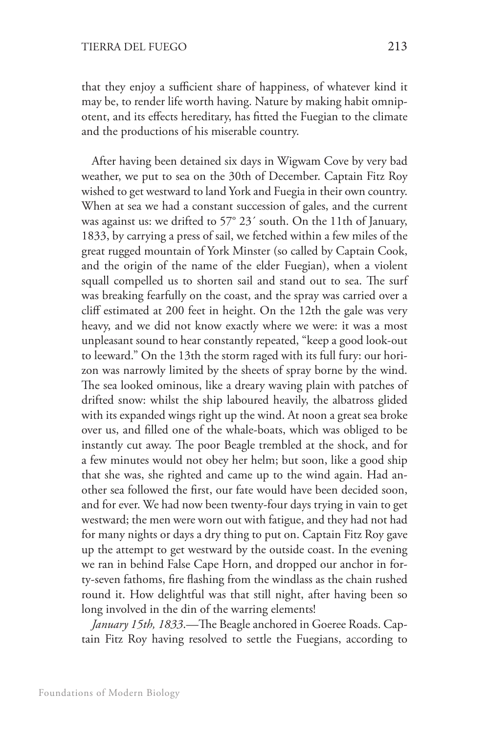that they enjoy a sufficient share of happiness, of whatever kind it may be, to render life worth having. Nature by making habit omnipotent, and its effects hereditary, has fitted the Fuegian to the climate and the productions of his miserable country.

After having been detained six days in Wigwam Cove by very bad weather, we put to sea on the 30th of December. Captain Fitz Roy wished to get westward to land York and Fuegia in their own country. When at sea we had a constant succession of gales, and the current was against us: we drifted to 57° 23´ south. On the 11th of January, 1833, by carrying a press of sail, we fetched within a few miles of the great rugged mountain of York Minster (so called by Captain Cook, and the origin of the name of the elder Fuegian), when a violent squall compelled us to shorten sail and stand out to sea. The surf was breaking fearfully on the coast, and the spray was carried over a cliff estimated at 200 feet in height. On the 12th the gale was very heavy, and we did not know exactly where we were: it was a most unpleasant sound to hear constantly repeated, "keep a good look-out to leeward." On the 13th the storm raged with its full fury: our horizon was narrowly limited by the sheets of spray borne by the wind. The sea looked ominous, like a dreary waving plain with patches of drifted snow: whilst the ship laboured heavily, the albatross glided with its expanded wings right up the wind. At noon a great sea broke over us, and filled one of the whale-boats, which was obliged to be instantly cut away. The poor Beagle trembled at the shock, and for a few minutes would not obey her helm; but soon, like a good ship that she was, she righted and came up to the wind again. Had another sea followed the first, our fate would have been decided soon, and for ever. We had now been twenty-four days trying in vain to get westward; the men were worn out with fatigue, and they had not had for many nights or days a dry thing to put on. Captain Fitz Roy gave up the attempt to get westward by the outside coast. In the evening we ran in behind False Cape Horn, and dropped our anchor in forty-seven fathoms, fire flashing from the windlass as the chain rushed round it. How delightful was that still night, after having been so long involved in the din of the warring elements!

*January 15th, 1833*.—The Beagle anchored in Goeree Roads. Captain Fitz Roy having resolved to settle the Fuegians, according to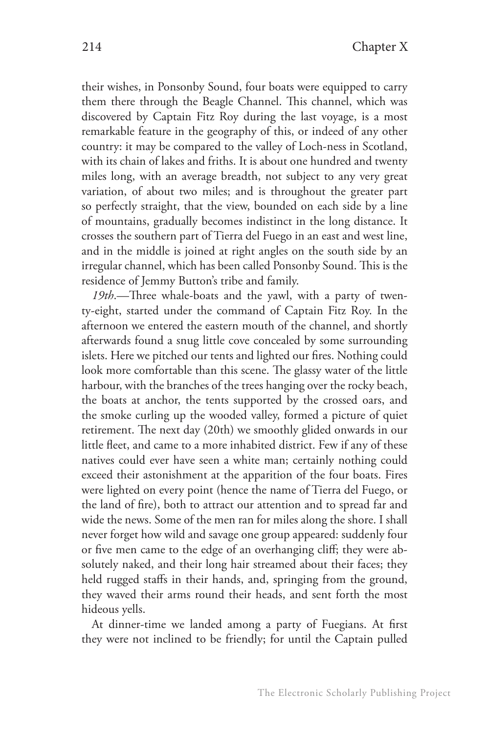their wishes, in Ponsonby Sound, four boats were equipped to carry them there through the Beagle Channel. This channel, which was discovered by Captain Fitz Roy during the last voyage, is a most remarkable feature in the geography of this, or indeed of any other country: it may be compared to the valley of Loch-ness in Scotland, with its chain of lakes and friths. It is about one hundred and twenty miles long, with an average breadth, not subject to any very great variation, of about two miles; and is throughout the greater part so perfectly straight, that the view, bounded on each side by a line of mountains, gradually becomes indistinct in the long distance. It crosses the southern part of Tierra del Fuego in an east and west line, and in the middle is joined at right angles on the south side by an irregular channel, which has been called Ponsonby Sound. This is the residence of Jemmy Button's tribe and family.

*19th*.—Three whale-boats and the yawl, with a party of twenty-eight, started under the command of Captain Fitz Roy. In the afternoon we entered the eastern mouth of the channel, and shortly afterwards found a snug little cove concealed by some surrounding islets. Here we pitched our tents and lighted our fires. Nothing could look more comfortable than this scene. The glassy water of the little harbour, with the branches of the trees hanging over the rocky beach, the boats at anchor, the tents supported by the crossed oars, and the smoke curling up the wooded valley, formed a picture of quiet retirement. The next day (20th) we smoothly glided onwards in our little fleet, and came to a more inhabited district. Few if any of these natives could ever have seen a white man; certainly nothing could exceed their astonishment at the apparition of the four boats. Fires were lighted on every point (hence the name of Tierra del Fuego, or the land of fire), both to attract our attention and to spread far and wide the news. Some of the men ran for miles along the shore. I shall never forget how wild and savage one group appeared: suddenly four or five men came to the edge of an overhanging cliff; they were absolutely naked, and their long hair streamed about their faces; they held rugged staffs in their hands, and, springing from the ground, they waved their arms round their heads, and sent forth the most hideous yells.

At dinner-time we landed among a party of Fuegians. At first they were not inclined to be friendly; for until the Captain pulled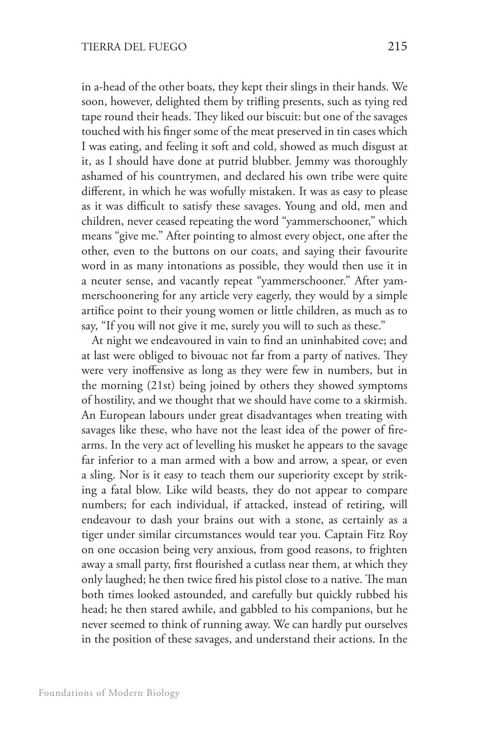in a-head of the other boats, they kept their slings in their hands. We soon, however, delighted them by trifling presents, such as tying red tape round their heads. They liked our biscuit: but one of the savages touched with his finger some of the meat preserved in tin cases which I was eating, and feeling it soft and cold, showed as much disgust at it, as I should have done at putrid blubber. Jemmy was thoroughly ashamed of his countrymen, and declared his own tribe were quite different, in which he was wofully mistaken. It was as easy to please as it was difficult to satisfy these savages. Young and old, men and children, never ceased repeating the word "yammerschooner," which means "give me." After pointing to almost every object, one after the other, even to the buttons on our coats, and saying their favourite word in as many intonations as possible, they would then use it in a neuter sense, and vacantly repeat "yammerschooner." After yammerschoonering for any article very eagerly, they would by a simple artifice point to their young women or little children, as much as to say, "If you will not give it me, surely you will to such as these."

At night we endeavoured in vain to find an uninhabited cove; and at last were obliged to bivouac not far from a party of natives. They were very inoffensive as long as they were few in numbers, but in the morning (21st) being joined by others they showed symptoms of hostility, and we thought that we should have come to a skirmish. An European labours under great disadvantages when treating with savages like these, who have not the least idea of the power of firearms. In the very act of levelling his musket he appears to the savage far inferior to a man armed with a bow and arrow, a spear, or even a sling. Nor is it easy to teach them our superiority except by striking a fatal blow. Like wild beasts, they do not appear to compare numbers; for each individual, if attacked, instead of retiring, will endeavour to dash your brains out with a stone, as certainly as a tiger under similar circumstances would tear you. Captain Fitz Roy on one occasion being very anxious, from good reasons, to frighten away a small party, first flourished a cutlass near them, at which they only laughed; he then twice fired his pistol close to a native. The man both times looked astounded, and carefully but quickly rubbed his head; he then stared awhile, and gabbled to his companions, but he never seemed to think of running away. We can hardly put ourselves in the position of these savages, and understand their actions. In the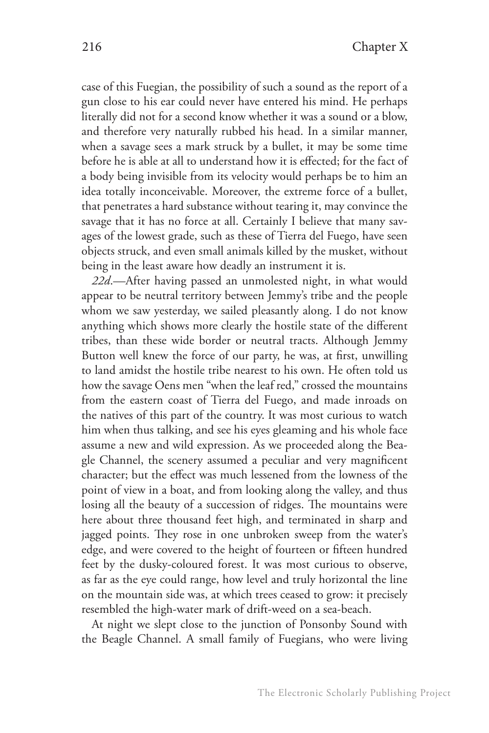case of this Fuegian, the possibility of such a sound as the report of a gun close to his ear could never have entered his mind. He perhaps literally did not for a second know whether it was a sound or a blow, and therefore very naturally rubbed his head. In a similar manner, when a savage sees a mark struck by a bullet, it may be some time before he is able at all to understand how it is effected; for the fact of a body being invisible from its velocity would perhaps be to him an idea totally inconceivable. Moreover, the extreme force of a bullet, that penetrates a hard substance without tearing it, may convince the savage that it has no force at all. Certainly I believe that many savages of the lowest grade, such as these of Tierra del Fuego, have seen objects struck, and even small animals killed by the musket, without being in the least aware how deadly an instrument it is.

*22d*.—After having passed an unmolested night, in what would appear to be neutral territory between Jemmy's tribe and the people whom we saw yesterday, we sailed pleasantly along. I do not know anything which shows more clearly the hostile state of the different tribes, than these wide border or neutral tracts. Although Jemmy Button well knew the force of our party, he was, at first, unwilling to land amidst the hostile tribe nearest to his own. He often told us how the savage Oens men "when the leaf red," crossed the mountains from the eastern coast of Tierra del Fuego, and made inroads on the natives of this part of the country. It was most curious to watch him when thus talking, and see his eyes gleaming and his whole face assume a new and wild expression. As we proceeded along the Beagle Channel, the scenery assumed a peculiar and very magnificent character; but the effect was much lessened from the lowness of the point of view in a boat, and from looking along the valley, and thus losing all the beauty of a succession of ridges. The mountains were here about three thousand feet high, and terminated in sharp and jagged points. They rose in one unbroken sweep from the water's edge, and were covered to the height of fourteen or fifteen hundred feet by the dusky-coloured forest. It was most curious to observe, as far as the eye could range, how level and truly horizontal the line on the mountain side was, at which trees ceased to grow: it precisely resembled the high-water mark of drift-weed on a sea-beach.

At night we slept close to the junction of Ponsonby Sound with the Beagle Channel. A small family of Fuegians, who were living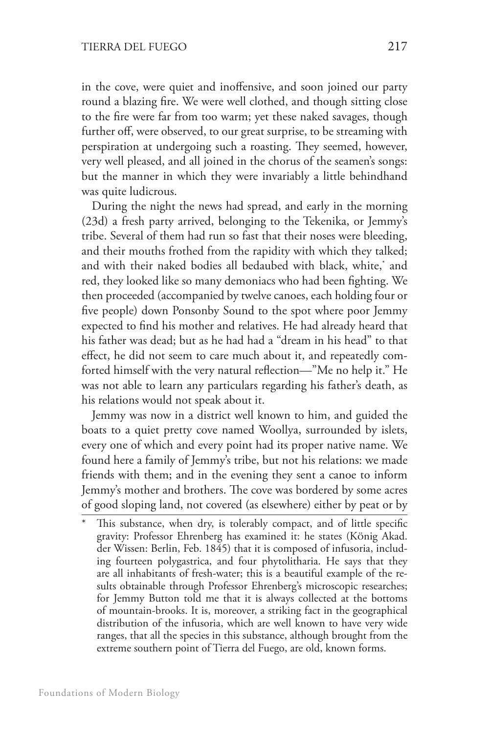in the cove, were quiet and inoffensive, and soon joined our party round a blazing fire. We were well clothed, and though sitting close to the fire were far from too warm; yet these naked savages, though further off, were observed, to our great surprise, to be streaming with perspiration at undergoing such a roasting. They seemed, however, very well pleased, and all joined in the chorus of the seamen's songs: but the manner in which they were invariably a little behindhand was quite ludicrous.

During the night the news had spread, and early in the morning (23d) a fresh party arrived, belonging to the Tekenika, or Jemmy's tribe. Several of them had run so fast that their noses were bleeding, and their mouths frothed from the rapidity with which they talked; and with their naked bodies all bedaubed with black, white,\* and red, they looked like so many demoniacs who had been fighting. We then proceeded (accompanied by twelve canoes, each holding four or five people) down Ponsonby Sound to the spot where poor Jemmy expected to find his mother and relatives. He had already heard that his father was dead; but as he had had a "dream in his head" to that effect, he did not seem to care much about it, and repeatedly comforted himself with the very natural reflection—"Me no help it." He was not able to learn any particulars regarding his father's death, as his relations would not speak about it.

Jemmy was now in a district well known to him, and guided the boats to a quiet pretty cove named Woollya, surrounded by islets, every one of which and every point had its proper native name. We found here a family of Jemmy's tribe, but not his relations: we made friends with them; and in the evening they sent a canoe to inform Jemmy's mother and brothers. The cove was bordered by some acres of good sloping land, not covered (as elsewhere) either by peat or by

This substance, when dry, is tolerably compact, and of little specific gravity: Professor Ehrenberg has examined it: he states (KÖnig Akad. der Wissen: Berlin, Feb. 1845) that it is composed of infusoria, including fourteen polygastrica, and four phytolitharia. He says that they are all inhabitants of fresh-water; this is a beautiful example of the results obtainable through Professor Ehrenberg's microscopic researches; for Jemmy Button told me that it is always collected at the bottoms of mountain-brooks. It is, moreover, a striking fact in the geographical distribution of the infusoria, which are well known to have very wide ranges, that all the species in this substance, although brought from the extreme southern point of Tierra del Fuego, are old, known forms.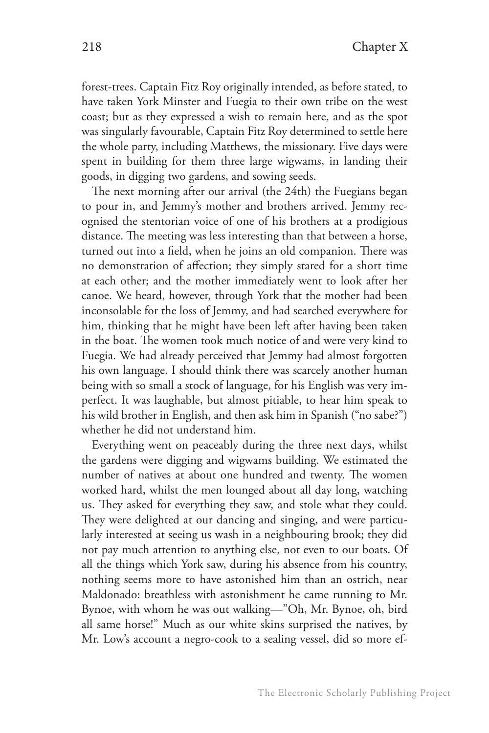forest-trees. Captain Fitz Roy originally intended, as before stated, to have taken York Minster and Fuegia to their own tribe on the west coast; but as they expressed a wish to remain here, and as the spot was singularly favourable, Captain Fitz Roy determined to settle here the whole party, including Matthews, the missionary. Five days were spent in building for them three large wigwams, in landing their goods, in digging two gardens, and sowing seeds.

The next morning after our arrival (the 24th) the Fuegians began to pour in, and Jemmy's mother and brothers arrived. Jemmy recognised the stentorian voice of one of his brothers at a prodigious distance. The meeting was less interesting than that between a horse, turned out into a field, when he joins an old companion. There was no demonstration of affection; they simply stared for a short time at each other; and the mother immediately went to look after her canoe. We heard, however, through York that the mother had been inconsolable for the loss of Jemmy, and had searched everywhere for him, thinking that he might have been left after having been taken in the boat. The women took much notice of and were very kind to Fuegia. We had already perceived that Jemmy had almost forgotten his own language. I should think there was scarcely another human being with so small a stock of language, for his English was very imperfect. It was laughable, but almost pitiable, to hear him speak to his wild brother in English, and then ask him in Spanish ("no sabe?") whether he did not understand him.

Everything went on peaceably during the three next days, whilst the gardens were digging and wigwams building. We estimated the number of natives at about one hundred and twenty. The women worked hard, whilst the men lounged about all day long, watching us. They asked for everything they saw, and stole what they could. They were delighted at our dancing and singing, and were particularly interested at seeing us wash in a neighbouring brook; they did not pay much attention to anything else, not even to our boats. Of all the things which York saw, during his absence from his country, nothing seems more to have astonished him than an ostrich, near Maldonado: breathless with astonishment he came running to Mr. Bynoe, with whom he was out walking—"Oh, Mr. Bynoe, oh, bird all same horse!" Much as our white skins surprised the natives, by Mr. Low's account a negro-cook to a sealing vessel, did so more ef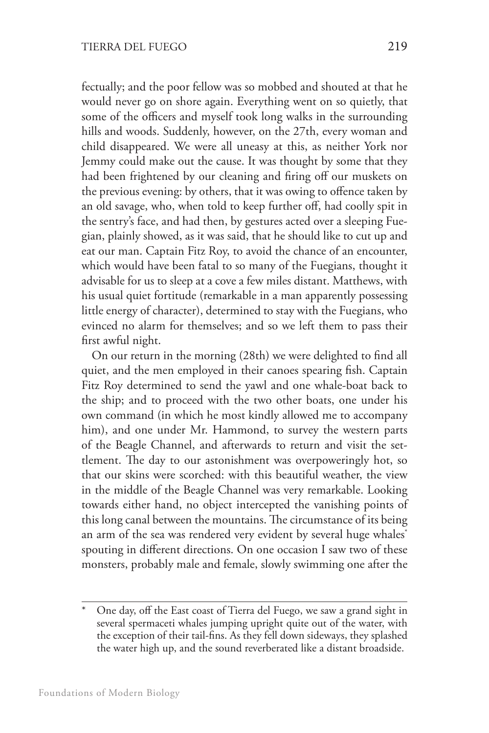fectually; and the poor fellow was so mobbed and shouted at that he would never go on shore again. Everything went on so quietly, that some of the officers and myself took long walks in the surrounding hills and woods. Suddenly, however, on the 27th, every woman and child disappeared. We were all uneasy at this, as neither York nor Jemmy could make out the cause. It was thought by some that they had been frightened by our cleaning and firing off our muskets on the previous evening: by others, that it was owing to offence taken by an old savage, who, when told to keep further off, had coolly spit in the sentry's face, and had then, by gestures acted over a sleeping Fuegian, plainly showed, as it was said, that he should like to cut up and eat our man. Captain Fitz Roy, to avoid the chance of an encounter, which would have been fatal to so many of the Fuegians, thought it advisable for us to sleep at a cove a few miles distant. Matthews, with his usual quiet fortitude (remarkable in a man apparently possessing little energy of character), determined to stay with the Fuegians, who evinced no alarm for themselves; and so we left them to pass their first awful night.

On our return in the morning (28th) we were delighted to find all quiet, and the men employed in their canoes spearing fish. Captain Fitz Roy determined to send the yawl and one whale-boat back to the ship; and to proceed with the two other boats, one under his own command (in which he most kindly allowed me to accompany him), and one under Mr. Hammond, to survey the western parts of the Beagle Channel, and afterwards to return and visit the settlement. The day to our astonishment was overpoweringly hot, so that our skins were scorched: with this beautiful weather, the view in the middle of the Beagle Channel was very remarkable. Looking towards either hand, no object intercepted the vanishing points of this long canal between the mountains. The circumstance of its being an arm of the sea was rendered very evident by several huge whales<sup>\*</sup> spouting in different directions. On one occasion I saw two of these monsters, probably male and female, slowly swimming one after the

One day, off the East coast of Tierra del Fuego, we saw a grand sight in several spermaceti whales jumping upright quite out of the water, with the exception of their tail-fins. As they fell down sideways, they splashed the water high up, and the sound reverberated like a distant broadside.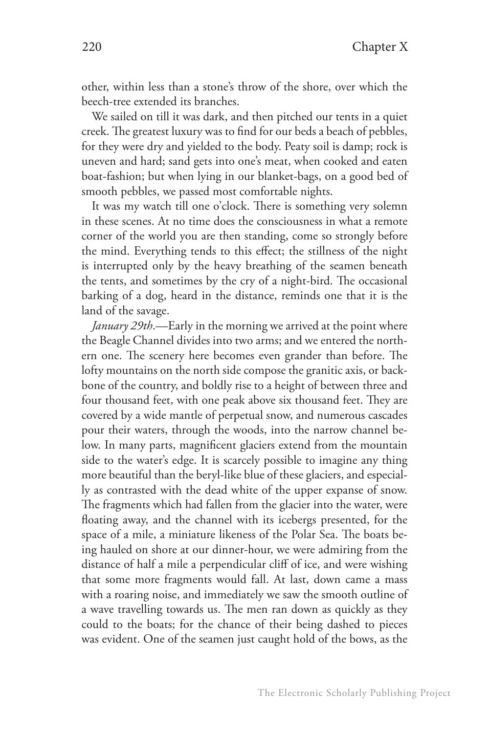other, within less than a stone's throw of the shore, over which the beech-tree extended its branches.

We sailed on till it was dark, and then pitched our tents in a quiet creek. The greatest luxury was to find for our beds a beach of pebbles, for they were dry and yielded to the body. Peaty soil is damp; rock is uneven and hard; sand gets into one's meat, when cooked and eaten boat-fashion; but when lying in our blanket-bags, on a good bed of smooth pebbles, we passed most comfortable nights.

It was my watch till one o'clock. There is something very solemn in these scenes. At no time does the consciousness in what a remote corner of the world you are then standing, come so strongly before the mind. Everything tends to this effect; the stillness of the night is interrupted only by the heavy breathing of the seamen beneath the tents, and sometimes by the cry of a night-bird. The occasional barking of a dog, heard in the distance, reminds one that it is the land of the savage.

*January 29th*.—Early in the morning we arrived at the point where the Beagle Channel divides into two arms; and we entered the northern one. The scenery here becomes even grander than before. The lofty mountains on the north side compose the granitic axis, or backbone of the country, and boldly rise to a height of between three and four thousand feet, with one peak above six thousand feet. They are covered by a wide mantle of perpetual snow, and numerous cascades pour their waters, through the woods, into the narrow channel below. In many parts, magnificent glaciers extend from the mountain side to the water's edge. It is scarcely possible to imagine any thing more beautiful than the beryl-like blue of these glaciers, and especially as contrasted with the dead white of the upper expanse of snow. The fragments which had fallen from the glacier into the water, were floating away, and the channel with its icebergs presented, for the space of a mile, a miniature likeness of the Polar Sea. The boats being hauled on shore at our dinner-hour, we were admiring from the distance of half a mile a perpendicular cliff of ice, and were wishing that some more fragments would fall. At last, down came a mass with a roaring noise, and immediately we saw the smooth outline of a wave travelling towards us. The men ran down as quickly as they could to the boats; for the chance of their being dashed to pieces was evident. One of the seamen just caught hold of the bows, as the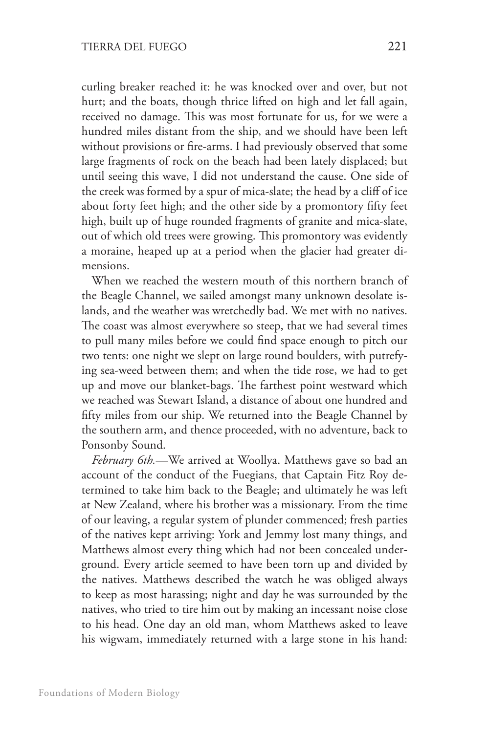curling breaker reached it: he was knocked over and over, but not hurt; and the boats, though thrice lifted on high and let fall again, received no damage. This was most fortunate for us, for we were a hundred miles distant from the ship, and we should have been left without provisions or fire-arms. I had previously observed that some large fragments of rock on the beach had been lately displaced; but until seeing this wave, I did not understand the cause. One side of the creek was formed by a spur of mica-slate; the head by a cliff of ice about forty feet high; and the other side by a promontory fifty feet high, built up of huge rounded fragments of granite and mica-slate, out of which old trees were growing. This promontory was evidently a moraine, heaped up at a period when the glacier had greater dimensions.

When we reached the western mouth of this northern branch of the Beagle Channel, we sailed amongst many unknown desolate islands, and the weather was wretchedly bad. We met with no natives. The coast was almost everywhere so steep, that we had several times to pull many miles before we could find space enough to pitch our two tents: one night we slept on large round boulders, with putrefying sea-weed between them; and when the tide rose, we had to get up and move our blanket-bags. The farthest point westward which we reached was Stewart Island, a distance of about one hundred and fifty miles from our ship. We returned into the Beagle Channel by the southern arm, and thence proceeded, with no adventure, back to Ponsonby Sound.

*February 6th.*—We arrived at Woollya. Matthews gave so bad an account of the conduct of the Fuegians, that Captain Fitz Roy determined to take him back to the Beagle; and ultimately he was left at New Zealand, where his brother was a missionary. From the time of our leaving, a regular system of plunder commenced; fresh parties of the natives kept arriving: York and Jemmy lost many things, and Matthews almost every thing which had not been concealed underground. Every article seemed to have been torn up and divided by the natives. Matthews described the watch he was obliged always to keep as most harassing; night and day he was surrounded by the natives, who tried to tire him out by making an incessant noise close to his head. One day an old man, whom Matthews asked to leave his wigwam, immediately returned with a large stone in his hand: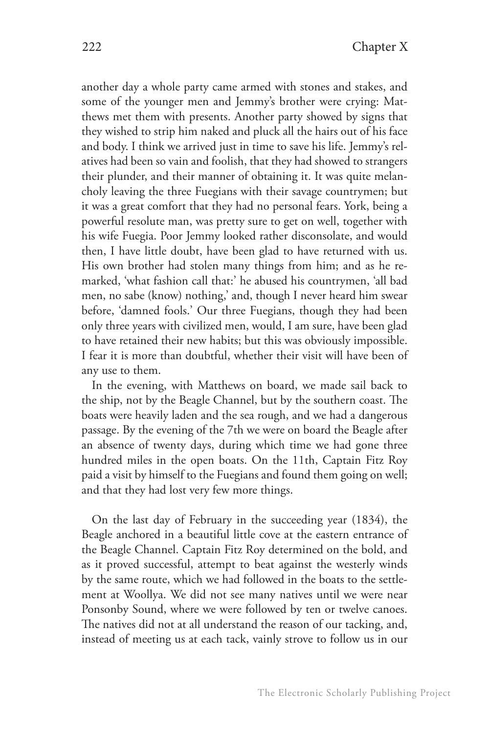another day a whole party came armed with stones and stakes, and some of the younger men and Jemmy's brother were crying: Matthews met them with presents. Another party showed by signs that they wished to strip him naked and pluck all the hairs out of his face and body. I think we arrived just in time to save his life. Jemmy's relatives had been so vain and foolish, that they had showed to strangers their plunder, and their manner of obtaining it. It was quite melancholy leaving the three Fuegians with their savage countrymen; but it was a great comfort that they had no personal fears. York, being a powerful resolute man, was pretty sure to get on well, together with his wife Fuegia. Poor Jemmy looked rather disconsolate, and would then, I have little doubt, have been glad to have returned with us. His own brother had stolen many things from him; and as he remarked, 'what fashion call that:' he abused his countrymen, 'all bad men, no sabe (know) nothing,' and, though I never heard him swear before, 'damned fools.' Our three Fuegians, though they had been only three years with civilized men, would, I am sure, have been glad to have retained their new habits; but this was obviously impossible. I fear it is more than doubtful, whether their visit will have been of any use to them.

In the evening, with Matthews on board, we made sail back to the ship, not by the Beagle Channel, but by the southern coast. The boats were heavily laden and the sea rough, and we had a dangerous passage. By the evening of the 7th we were on board the Beagle after an absence of twenty days, during which time we had gone three hundred miles in the open boats. On the 11th, Captain Fitz Roy paid a visit by himself to the Fuegians and found them going on well; and that they had lost very few more things.

On the last day of February in the succeeding year (1834), the Beagle anchored in a beautiful little cove at the eastern entrance of the Beagle Channel. Captain Fitz Roy determined on the bold, and as it proved successful, attempt to beat against the westerly winds by the same route, which we had followed in the boats to the settlement at Woollya. We did not see many natives until we were near Ponsonby Sound, where we were followed by ten or twelve canoes. The natives did not at all understand the reason of our tacking, and, instead of meeting us at each tack, vainly strove to follow us in our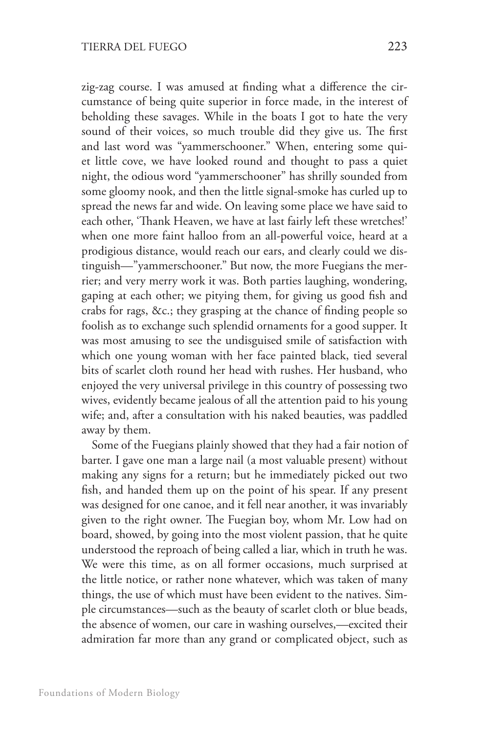zig-zag course. I was amused at finding what a difference the circumstance of being quite superior in force made, in the interest of beholding these savages. While in the boats I got to hate the very sound of their voices, so much trouble did they give us. The first and last word was "yammerschooner." When, entering some quiet little cove, we have looked round and thought to pass a quiet night, the odious word "yammerschooner" has shrilly sounded from some gloomy nook, and then the little signal-smoke has curled up to spread the news far and wide. On leaving some place we have said to each other, 'Thank Heaven, we have at last fairly left these wretches!' when one more faint halloo from an all-powerful voice, heard at a prodigious distance, would reach our ears, and clearly could we distinguish—"yammerschooner." But now, the more Fuegians the merrier; and very merry work it was. Both parties laughing, wondering, gaping at each other; we pitying them, for giving us good fish and crabs for rags, &c.; they grasping at the chance of finding people so foolish as to exchange such splendid ornaments for a good supper. It was most amusing to see the undisguised smile of satisfaction with which one young woman with her face painted black, tied several bits of scarlet cloth round her head with rushes. Her husband, who enjoyed the very universal privilege in this country of possessing two wives, evidently became jealous of all the attention paid to his young wife; and, after a consultation with his naked beauties, was paddled away by them.

Some of the Fuegians plainly showed that they had a fair notion of barter. I gave one man a large nail (a most valuable present) without making any signs for a return; but he immediately picked out two fish, and handed them up on the point of his spear. If any present was designed for one canoe, and it fell near another, it was invariably given to the right owner. The Fuegian boy, whom Mr. Low had on board, showed, by going into the most violent passion, that he quite understood the reproach of being called a liar, which in truth he was. We were this time, as on all former occasions, much surprised at the little notice, or rather none whatever, which was taken of many things, the use of which must have been evident to the natives. Simple circumstances—such as the beauty of scarlet cloth or blue beads, the absence of women, our care in washing ourselves,—excited their admiration far more than any grand or complicated object, such as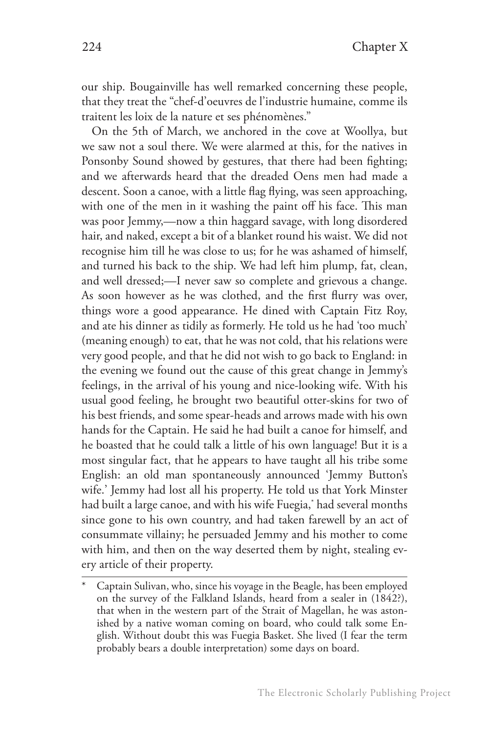our ship. Bougainville has well remarked concerning these people, that they treat the "chef-d'oeuvres de l'industrie humaine, comme ils traitent les loix de la nature et ses phénomènes."

On the 5th of March, we anchored in the cove at Woollya, but we saw not a soul there. We were alarmed at this, for the natives in Ponsonby Sound showed by gestures, that there had been fighting; and we afterwards heard that the dreaded Oens men had made a descent. Soon a canoe, with a little flag flying, was seen approaching, with one of the men in it washing the paint off his face. This man was poor Jemmy,—now a thin haggard savage, with long disordered hair, and naked, except a bit of a blanket round his waist. We did not recognise him till he was close to us; for he was ashamed of himself, and turned his back to the ship. We had left him plump, fat, clean, and well dressed;—I never saw so complete and grievous a change. As soon however as he was clothed, and the first flurry was over, things wore a good appearance. He dined with Captain Fitz Roy, and ate his dinner as tidily as formerly. He told us he had 'too much' (meaning enough) to eat, that he was not cold, that his relations were very good people, and that he did not wish to go back to England: in the evening we found out the cause of this great change in Jemmy's feelings, in the arrival of his young and nice-looking wife. With his usual good feeling, he brought two beautiful otter-skins for two of his best friends, and some spear-heads and arrows made with his own hands for the Captain. He said he had built a canoe for himself, and he boasted that he could talk a little of his own language! But it is a most singular fact, that he appears to have taught all his tribe some English: an old man spontaneously announced 'Jemmy Button's wife.' Jemmy had lost all his property. He told us that York Minster had built a large canoe, and with his wife Fuegia,\* had several months since gone to his own country, and had taken farewell by an act of consummate villainy; he persuaded Jemmy and his mother to come with him, and then on the way deserted them by night, stealing every article of their property.

Captain Sulivan, who, since his voyage in the Beagle, has been employed on the survey of the Falkland Islands, heard from a sealer in (1842?), that when in the western part of the Strait of Magellan, he was astonished by a native woman coming on board, who could talk some English. Without doubt this was Fuegia Basket. She lived (I fear the term probably bears a double interpretation) some days on board.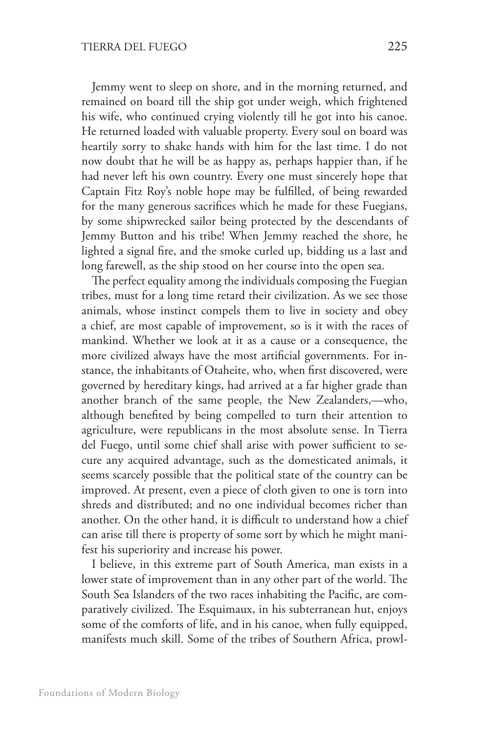Jemmy went to sleep on shore, and in the morning returned, and remained on board till the ship got under weigh, which frightened his wife, who continued crying violently till he got into his canoe. He returned loaded with valuable property. Every soul on board was heartily sorry to shake hands with him for the last time. I do not now doubt that he will be as happy as, perhaps happier than, if he had never left his own country. Every one must sincerely hope that Captain Fitz Roy's noble hope may be fulfilled, of being rewarded for the many generous sacrifices which he made for these Fuegians, by some shipwrecked sailor being protected by the descendants of Jemmy Button and his tribe! When Jemmy reached the shore, he lighted a signal fire, and the smoke curled up, bidding us a last and long farewell, as the ship stood on her course into the open sea.

The perfect equality among the individuals composing the Fuegian tribes, must for a long time retard their civilization. As we see those animals, whose instinct compels them to live in society and obey a chief, are most capable of improvement, so is it with the races of mankind. Whether we look at it as a cause or a consequence, the more civilized always have the most artificial governments. For instance, the inhabitants of Otaheite, who, when first discovered, were governed by hereditary kings, had arrived at a far higher grade than another branch of the same people, the New Zealanders,—who, although benefited by being compelled to turn their attention to agriculture, were republicans in the most absolute sense. In Tierra del Fuego, until some chief shall arise with power sufficient to secure any acquired advantage, such as the domesticated animals, it seems scarcely possible that the political state of the country can be improved. At present, even a piece of cloth given to one is torn into shreds and distributed; and no one individual becomes richer than another. On the other hand, it is difficult to understand how a chief can arise till there is property of some sort by which he might manifest his superiority and increase his power.

I believe, in this extreme part of South America, man exists in a lower state of improvement than in any other part of the world. The South Sea Islanders of the two races inhabiting the Pacific, are comparatively civilized. The Esquimaux, in his subterranean hut, enjoys some of the comforts of life, and in his canoe, when fully equipped, manifests much skill. Some of the tribes of Southern Africa, prowl-